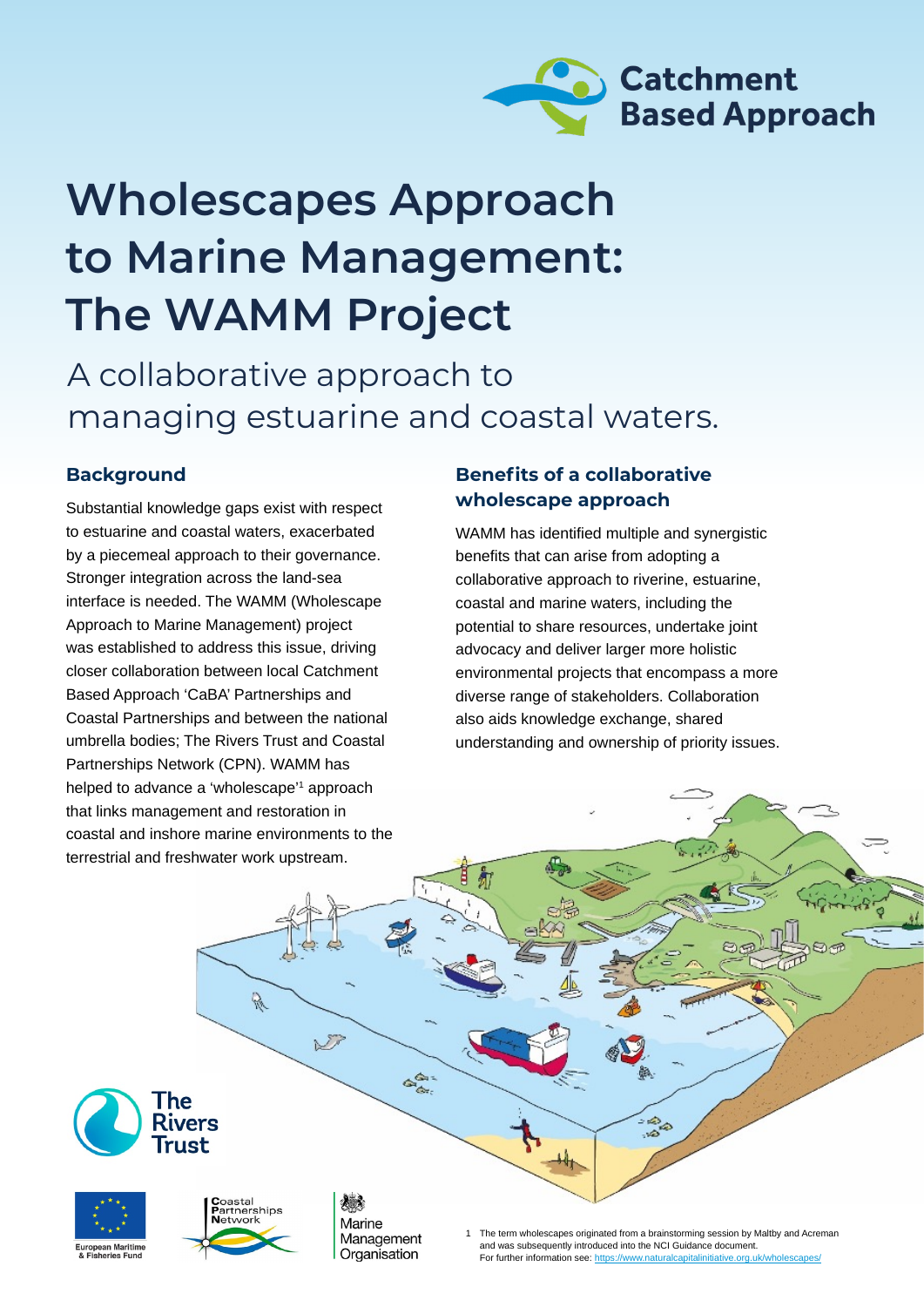

# **Wholescapes Approach to Marine Management: The WAMM Project**

### A collaborative approach to managing estuarine and coastal waters.

### **Background**

Substantial knowledge gaps exist with respect to estuarine and coastal waters, exacerbated by a piecemeal approach to their governance. Stronger integration across the land-sea interface is needed. The WAMM (Wholescape Approach to Marine Management) project was established to address this issue, driving closer collaboration between local Catchment Based Approach 'CaBA' Partnerships and Coastal Partnerships and between the national umbrella bodies; The Rivers Trust and Coastal Partnerships Network (CPN). WAMM has helped to advance a 'wholescape'1 approach that links management and restoration in coastal and inshore marine environments to the terrestrial and freshwater work upstream.

#### **Benefits of a collaborative wholescape approach**

WAMM has identified multiple and synergistic benefits that can arise from adopting a collaborative approach to riverine, estuarine, coastal and marine waters, including the potential to share resources, undertake joint advocacy and deliver larger more holistic environmental projects that encompass a more diverse range of stakeholders. Collaboration also aids knowledge exchange, shared understanding and ownership of priority issues.







R.

 $\sum$ 

Marine Management Organisation

డి

The term wholescapes originated from a brainstorming session by Maltby and Acreman and was subsequently introduced into the NCI Guidance document. For further information see: https://www.naturalcapitalinitiative.org.uk/who

 $-\frac{1}{2}$